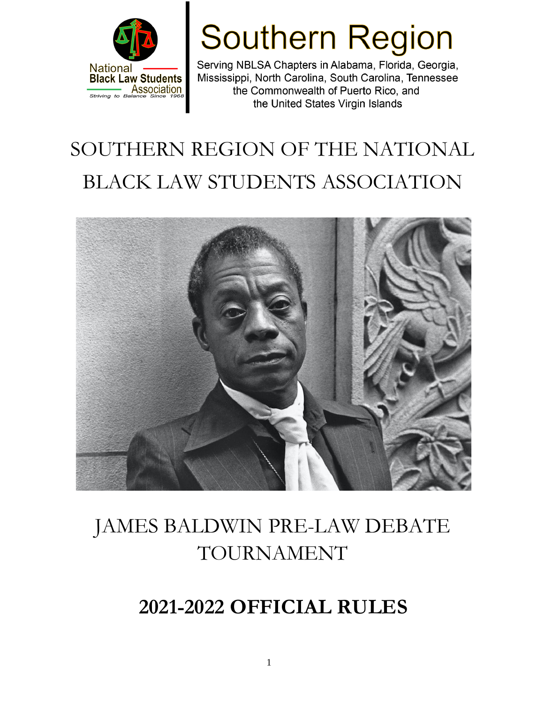

# **Southern Region**

Serving NBLSA Chapters in Alabama, Florida, Georgia, Mississippi, North Carolina, South Carolina, Tennessee the Commonwealth of Puerto Rico, and the United States Virgin Islands

## SOUTHERN REGION OF THE NATIONAL BLACK LAW STUDENTS ASSOCIATION



## JAMES BALDWIN PRE-LAW DEBATE TOURNAMENT

## **2021-2022 OFFICIAL RULES**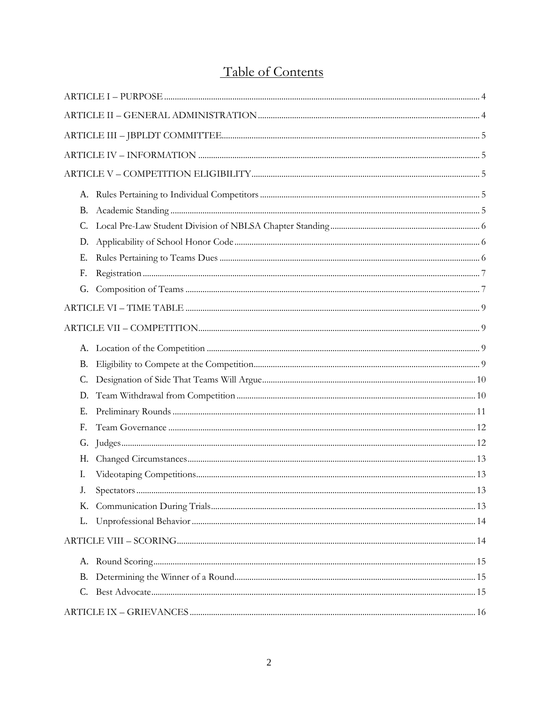## Table of Contents

| <b>B.</b>   |  |
|-------------|--|
| $C_{\cdot}$ |  |
| D.          |  |
| Ε.          |  |
| F.          |  |
| G.          |  |
|             |  |
|             |  |
|             |  |
| <b>B.</b>   |  |
| C.          |  |
| D.          |  |
| Ε.          |  |
| F.          |  |
| G.          |  |
| Н.          |  |
| Ι.          |  |
| J.          |  |
| Κ.          |  |
| L.          |  |
|             |  |
|             |  |
| В.          |  |
|             |  |
|             |  |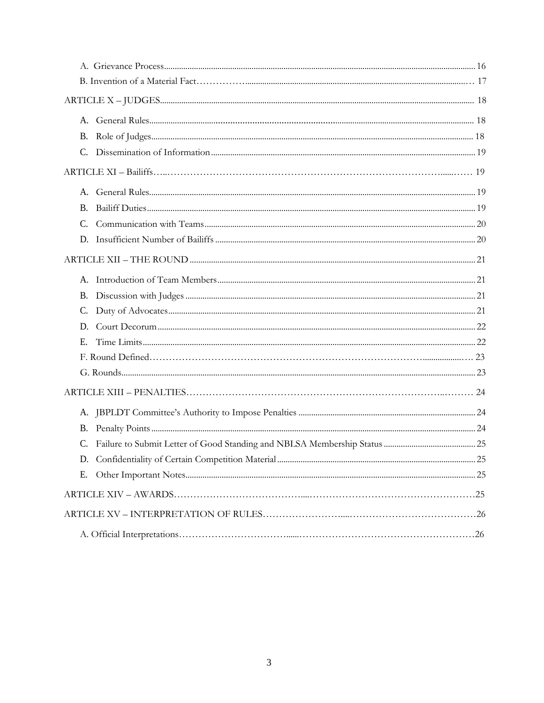| B. |  |
|----|--|
|    |  |
| D. |  |
|    |  |
|    |  |
|    |  |
|    |  |
|    |  |
| Е. |  |
|    |  |
|    |  |
|    |  |
|    |  |
|    |  |
|    |  |
|    |  |
| Е. |  |
|    |  |
|    |  |
|    |  |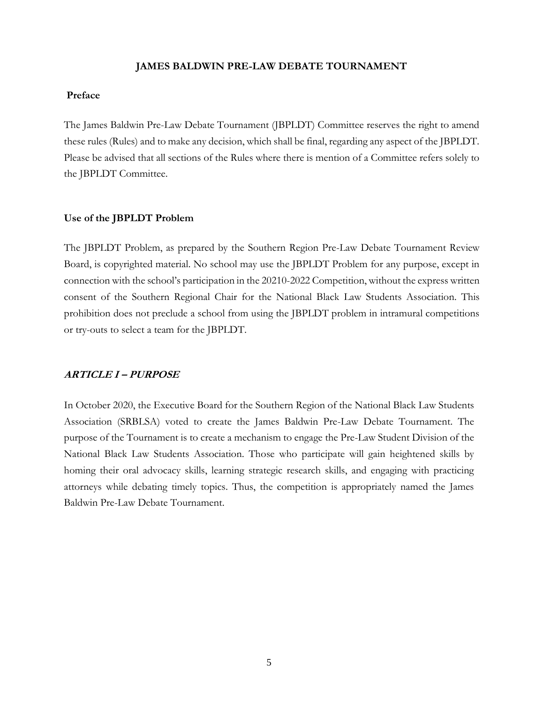#### **JAMES BALDWIN PRE-LAW DEBATE TOURNAMENT**

## **Preface**

The James Baldwin Pre-Law Debate Tournament (JBPLDT) Committee reserves the right to amend these rules (Rules) and to make any decision, which shall be final, regarding any aspect of the JBPLDT. Please be advised that all sections of the Rules where there is mention of a Committee refers solely to the JBPLDT Committee.

#### **Use of the JBPLDT Problem**

The JBPLDT Problem, as prepared by the Southern Region Pre-Law Debate Tournament Review Board, is copyrighted material. No school may use the JBPLDT Problem for any purpose, except in connection with the school's participation in the 20210-2022 Competition, without the express written consent of the Southern Regional Chair for the National Black Law Students Association. This prohibition does not preclude a school from using the JBPLDT problem in intramural competitions or try-outs to select a team for the JBPLDT.

### <span id="page-4-0"></span>**ARTICLE I – PURPOSE**

In October 2020, the Executive Board for the Southern Region of the National Black Law Students Association (SRBLSA) voted to create the James Baldwin Pre-Law Debate Tournament. The purpose of the Tournament is to create a mechanism to engage the Pre-Law Student Division of the National Black Law Students Association. Those who participate will gain heightened skills by homing their oral advocacy skills, learning strategic research skills, and engaging with practicing attorneys while debating timely topics. Thus, the competition is appropriately named the James Baldwin Pre-Law Debate Tournament.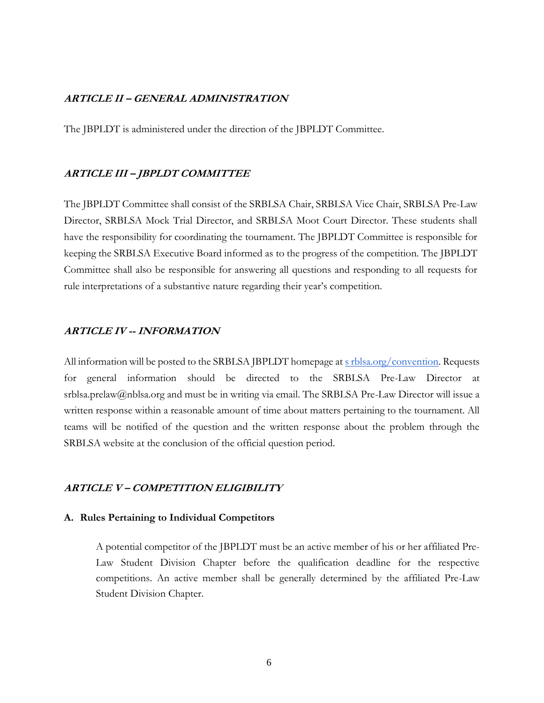## <span id="page-5-0"></span>**ARTICLE II – GENERAL ADMINISTRATION**

The JBPLDT is administered under the direction of the JBPLDT Committee.

#### <span id="page-5-1"></span>**ARTICLE III – JBPLDT COMMITTEE**

The JBPLDT Committee shall consist of the SRBLSA Chair, SRBLSA Vice Chair, SRBLSA Pre-Law Director, SRBLSA Mock Trial Director, and SRBLSA Moot Court Director. These students shall have the responsibility for coordinating the tournament. The JBPLDT Committee is responsible for keeping the SRBLSA Executive Board informed as to the progress of the competition. The JBPLDT Committee shall also be responsible for answering all questions and responding to all requests for rule interpretations of a substantive nature regarding their year's competition.

#### <span id="page-5-2"></span>**ARTICLE IV -- INFORMATION**

All information will be posted to the SRBLSA JBPLDT homepage at s [rblsa.org/convention.](http://srblsa.org/convention) Requests for general information should be directed to the SRBLSA Pre-Law Director at [srblsa.prelaw@nblsa.org a](mailto:srblsa.prelaw@nblsa.org)nd must be in writing via email. The SRBLSA Pre-Law Director will issue a written response within a reasonable amount of time about matters pertaining to the tournament. All teams will be notified of the question and the written response about the problem through the SRBLSA website at the conclusion of the official question period.

## <span id="page-5-3"></span>**ARTICLE V – COMPETITION ELIGIBILITY**

#### <span id="page-5-4"></span>**A. Rules Pertaining to Individual Competitors**

A potential competitor of the JBPLDT must be an active member of his or her affiliated Pre-Law Student Division Chapter before the qualification deadline for the respective competitions. An active member shall be generally determined by the affiliated Pre-Law Student Division Chapter.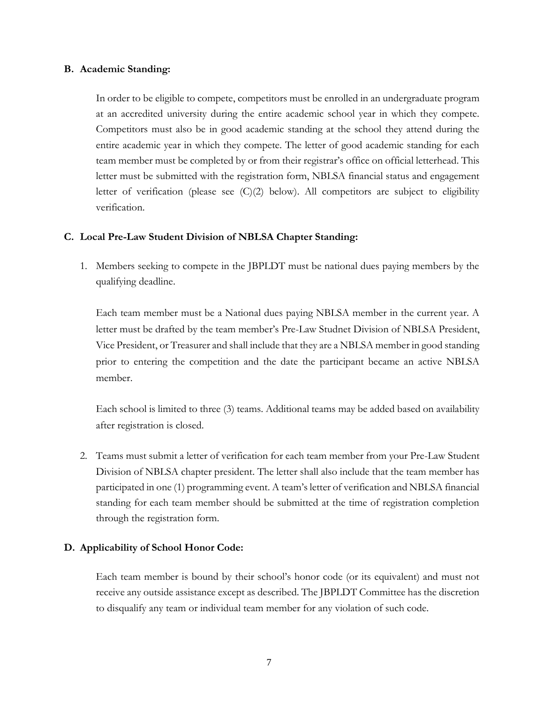## <span id="page-6-0"></span>**B. Academic Standing:**

In order to be eligible to compete, competitors must be enrolled in an undergraduate program at an accredited university during the entire academic school year in which they compete. Competitors must also be in good academic standing at the school they attend during the entire academic year in which they compete. The letter of good academic standing for each team member must be completed by or from their registrar's office on official letterhead. This letter must be submitted with the registration form, NBLSA financial status and engagement letter of verification (please see (C)(2) below). All competitors are subject to eligibility verification.

## <span id="page-6-1"></span>**C. Local Pre-Law Student Division of NBLSA Chapter Standing:**

1. Members seeking to compete in the JBPLDT must be national dues paying members by the qualifying deadline.

Each team member must be a National dues paying NBLSA member in the current year. A letter must be drafted by the team member's Pre-Law Studnet Division of NBLSA President, Vice President, or Treasurer and shall include that they are a NBLSA member in good standing prior to entering the competition and the date the participant became an active NBLSA member.

Each school is limited to three (3) teams. Additional teams may be added based on availability after registration is closed.

2. Teams must submit a letter of verification for each team member from your Pre-Law Student Division of NBLSA chapter president. The letter shall also include that the team member has participated in one (1) programming event. A team's letter of verification and NBLSA financial standing for each team member should be submitted at the time of registration completion through the registration form.

## <span id="page-6-2"></span>**D. Applicability of School Honor Code:**

Each team member is bound by their school's honor code (or its equivalent) and must not receive any outside assistance except as described. The JBPLDT Committee has the discretion to disqualify any team or individual team member for any violation of such code.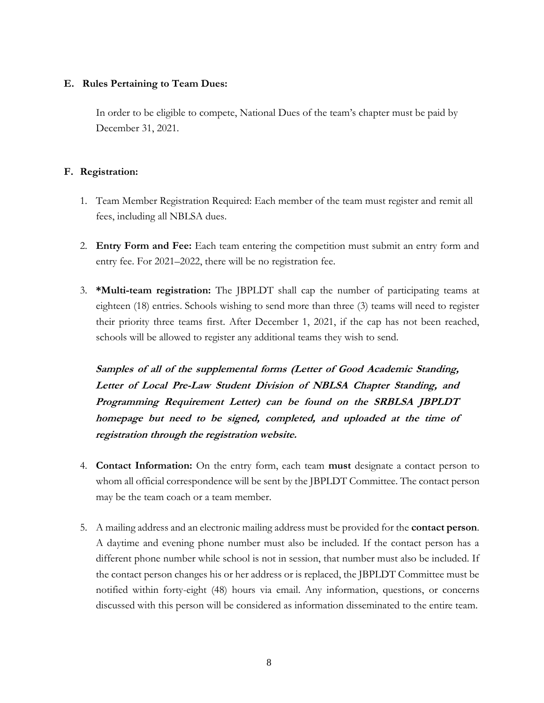## **E. Rules Pertaining to Team Dues:**

In order to be eligible to compete, National Dues of the team's chapter must be paid by December 31, 2021.

## <span id="page-7-0"></span>**F. Registration:**

- 1. Team Member Registration Required: Each member of the team must register and remit all fees, including all NBLSA dues.
- 2. **Entry Form and Fee:** Each team entering the competition must submit an entry form and entry fee. For 2021–2022, there will be no registration fee.
- 3. **\*Multi-team registration:** The JBPLDT shall cap the number of participating teams at eighteen (18) entries. Schools wishing to send more than three (3) teams will need to register their priority three teams first. After December 1, 2021, if the cap has not been reached, schools will be allowed to register any additional teams they wish to send.

**Samples of all of the supplemental forms (Letter of Good Academic Standing, Letter of Local Pre-Law Student Division of NBLSA Chapter Standing, and Programming Requirement Letter) can be found on the SRBLSA JBPLDT homepage but need to be signed, completed, and uploaded at the time of registration through the registration website.**

- 4. **Contact Information:** On the entry form, each team **must** designate a contact person to whom all official correspondence will be sent by the JBPLDT Committee. The contact person may be the team coach or a team member.
- 5. A mailing address and an electronic mailing address must be provided for the **contact person**. A daytime and evening phone number must also be included. If the contact person has a different phone number while school is not in session, that number must also be included. If the contact person changes his or her address or is replaced, the JBPLDT Committee must be notified within forty-eight (48) hours via email. Any information, questions, or concerns discussed with this person will be considered as information disseminated to the entire team.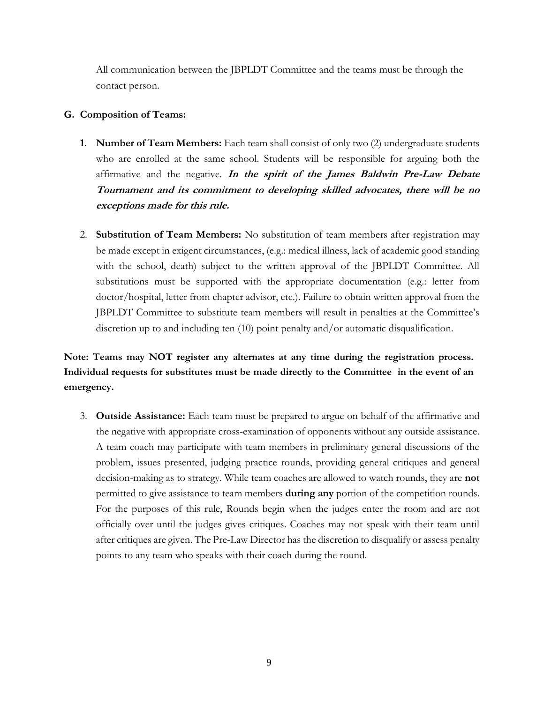All communication between the JBPLDT Committee and the teams must be through the contact person.

## <span id="page-8-0"></span>**G. Composition of Teams:**

- **1. Number of Team Members:** Each team shall consist of only two (2) undergraduate students who are enrolled at the same school. Students will be responsible for arguing both the affirmative and the negative. **In the spirit of the James Baldwin Pre-Law Debate Tournament and its commitment to developing skilled advocates, there will be no exceptions made for this rule.**
- 2. **Substitution of Team Members:** No substitution of team members after registration may be made except in exigent circumstances, (e.g.: medical illness, lack of academic good standing with the school, death) subject to the written approval of the JBPLDT Committee. All substitutions must be supported with the appropriate documentation (e.g.: letter from doctor/hospital, letter from chapter advisor, etc.). Failure to obtain written approval from the JBPLDT Committee to substitute team members will result in penalties at the Committee's discretion up to and including ten (10) point penalty and/or automatic disqualification.

**Note: Teams may NOT register any alternates at any time during the registration process. Individual requests for substitutes must be made directly to the Committee in the event of an emergency.**

3. **Outside Assistance:** Each team must be prepared to argue on behalf of the affirmative and the negative with appropriate cross-examination of opponents without any outside assistance. A team coach may participate with team members in preliminary general discussions of the problem, issues presented, judging practice rounds, providing general critiques and general decision-making as to strategy. While team coaches are allowed to watch rounds, they are **not**  permitted to give assistance to team members **during any** portion of the competition rounds. For the purposes of this rule, Rounds begin when the judges enter the room and are not officially over until the judges gives critiques. Coaches may not speak with their team until after critiques are given. The Pre-Law Director has the discretion to disqualify or assess penalty points to any team who speaks with their coach during the round.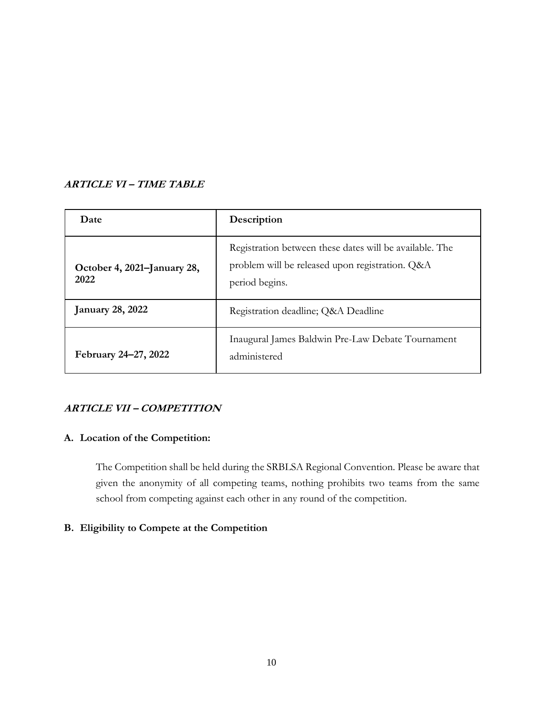## <span id="page-9-0"></span>**ARTICLE VI – TIME TABLE**

| Date                                | Description                                                                                                                  |  |
|-------------------------------------|------------------------------------------------------------------------------------------------------------------------------|--|
| October 4, 2021–January 28,<br>2022 | Registration between these dates will be available. The<br>problem will be released upon registration. Q&A<br>period begins. |  |
| <b>January 28, 2022</b>             | Registration deadline; Q&A Deadline                                                                                          |  |
| February 24–27, 2022                | Inaugural James Baldwin Pre-Law Debate Tournament<br>administered                                                            |  |

## <span id="page-9-1"></span>**ARTICLE VII – COMPETITION**

## <span id="page-9-2"></span>**A. Location of the Competition:**

The Competition shall be held during the SRBLSA Regional Convention. Please be aware that given the anonymity of all competing teams, nothing prohibits two teams from the same school from competing against each other in any round of the competition.

## <span id="page-9-3"></span>**B. Eligibility to Compete at the Competition**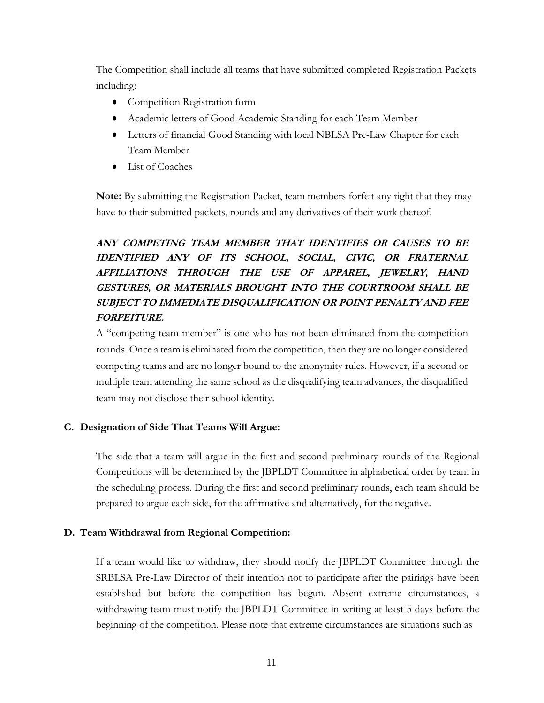The Competition shall include all teams that have submitted completed Registration Packets including:

- Competition Registration form
- Academic letters of Good Academic Standing for each Team Member
- Letters of financial Good Standing with local NBLSA Pre-Law Chapter for each Team Member
- List of Coaches

**Note:** By submitting the Registration Packet, team members forfeit any right that they may have to their submitted packets, rounds and any derivatives of their work thereof.

## **ANY COMPETING TEAM MEMBER THAT IDENTIFIES OR CAUSES TO BE IDENTIFIED ANY OF ITS SCHOOL, SOCIAL, CIVIC, OR FRATERNAL AFFILIATIONS THROUGH THE USE OF APPAREL, JEWELRY, HAND GESTURES, OR MATERIALS BROUGHT INTO THE COURTROOM SHALL BE SUBJECT TO IMMEDIATE DISQUALIFICATION OR POINT PENALTY AND FEE FORFEITURE.**

A "competing team member" is one who has not been eliminated from the competition rounds. Once a team is eliminated from the competition, then they are no longer considered competing teams and are no longer bound to the anonymity rules. However, if a second or multiple team attending the same school as the disqualifying team advances, the disqualified team may not disclose their school identity.

## <span id="page-10-0"></span>**C. Designation of Side That Teams Will Argue:**

The side that a team will argue in the first and second preliminary rounds of the Regional Competitions will be determined by the JBPLDT Committee in alphabetical order by team in the scheduling process. During the first and second preliminary rounds, each team should be prepared to argue each side, for the affirmative and alternatively, for the negative.

## **D. Team Withdrawal from Regional Competition:**

If a team would like to withdraw, they should notify the JBPLDT Committee through the SRBLSA Pre-Law Director of their intention not to participate after the pairings have been established but before the competition has begun. Absent extreme circumstances, a withdrawing team must notify the JBPLDT Committee in writing at least 5 days before the beginning of the competition. Please note that extreme circumstances are situations such as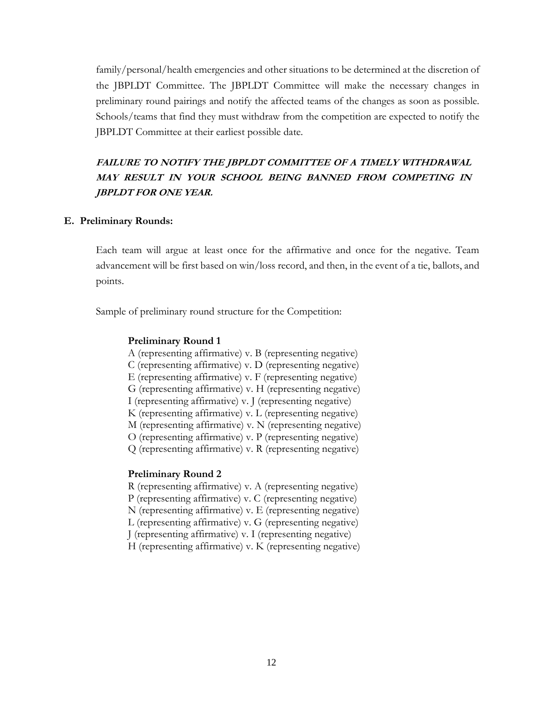family/personal/health emergencies and other situations to be determined at the discretion of the JBPLDT Committee. The JBPLDT Committee will make the necessary changes in preliminary round pairings and notify the affected teams of the changes as soon as possible. Schools/teams that find they must withdraw from the competition are expected to notify the JBPLDT Committee at their earliest possible date.

## **FAILURE TO NOTIFY THE JBPLDT COMMITTEE OF A TIMELY WITHDRAWAL MAY RESULT IN YOUR SCHOOL BEING BANNED FROM COMPETING IN JBPLDT FOR ONE YEAR.**

#### <span id="page-11-0"></span>**E. Preliminary Rounds:**

Each team will argue at least once for the affirmative and once for the negative. Team advancement will be first based on win/loss record, and then, in the event of a tie, ballots, and points.

Sample of preliminary round structure for the Competition:

#### **Preliminary Round 1**

- A (representing affirmative) v. B (representing negative)
- C (representing affirmative) v. D (representing negative)
- E (representing affirmative) v. F (representing negative)
- G (representing affirmative) v. H (representing negative)
- I (representing affirmative) v. J (representing negative)
- K (representing affirmative) v. L (representing negative)
- M (representing affirmative) v. N (representing negative)
- O (representing affirmative) v. P (representing negative)
- Q (representing affirmative) v. R (representing negative)

## **Preliminary Round 2**

- R (representing affirmative) v. A (representing negative)
- P (representing affirmative) v. C (representing negative)
- N (representing affirmative) v. E (representing negative)
- L (representing affirmative) v. G (representing negative)
- J (representing affirmative) v. I (representing negative)
- H (representing affirmative) v. K (representing negative)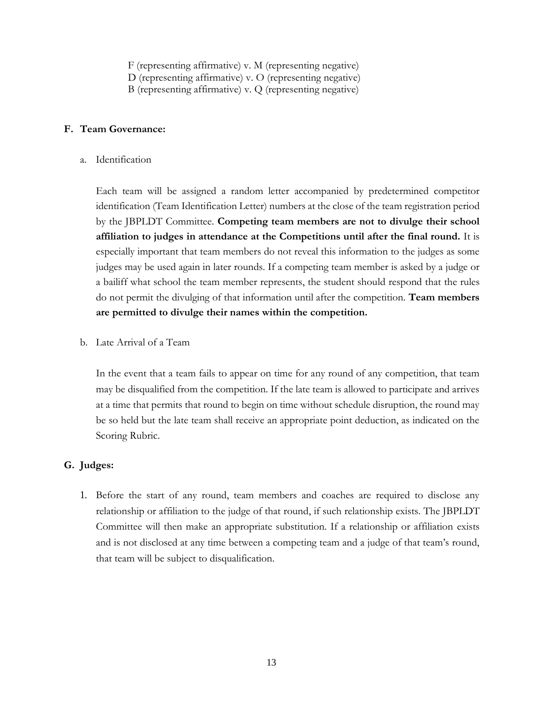F (representing affirmative) v. M (representing negative)

- D (representing affirmative) v. O (representing negative)
- B (representing affirmative) v. Q (representing negative)

## <span id="page-12-0"></span>**F. Team Governance:**

a. Identification

Each team will be assigned a random letter accompanied by predetermined competitor identification (Team Identification Letter) numbers at the close of the team registration period by the JBPLDT Committee. **Competing team members are not to divulge their school affiliation to judges in attendance at the Competitions until after the final round.** It is especially important that team members do not reveal this information to the judges as some judges may be used again in later rounds. If a competing team member is asked by a judge or a bailiff what school the team member represents, the student should respond that the rules do not permit the divulging of that information until after the competition. **Team members are permitted to divulge their names within the competition.**

b. Late Arrival of a Team

In the event that a team fails to appear on time for any round of any competition, that team may be disqualified from the competition. If the late team is allowed to participate and arrives at a time that permits that round to begin on time without schedule disruption, the round may be so held but the late team shall receive an appropriate point deduction, as indicated on the Scoring Rubric.

## <span id="page-12-1"></span>**G. Judges:**

1. Before the start of any round, team members and coaches are required to disclose any relationship or affiliation to the judge of that round, if such relationship exists. The JBPLDT Committee will then make an appropriate substitution. If a relationship or affiliation exists and is not disclosed at any time between a competing team and a judge of that team's round, that team will be subject to disqualification.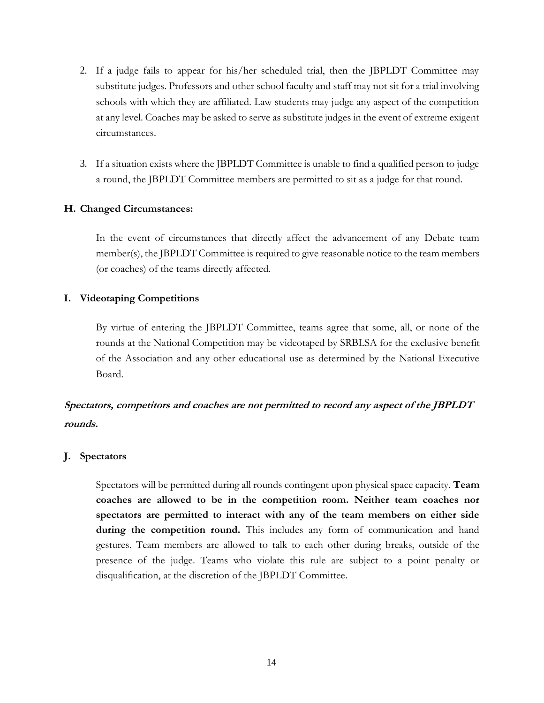- 2. If a judge fails to appear for his/her scheduled trial, then the JBPLDT Committee may substitute judges. Professors and other school faculty and staff may not sit for a trial involving schools with which they are affiliated. Law students may judge any aspect of the competition at any level. Coaches may be asked to serve as substitute judges in the event of extreme exigent circumstances.
- 3. If a situation exists where the JBPLDT Committee is unable to find a qualified person to judge a round, the JBPLDT Committee members are permitted to sit as a judge for that round.

## <span id="page-13-0"></span>**H. Changed Circumstances:**

In the event of circumstances that directly affect the advancement of any Debate team member(s), the JBPLDT Committee is required to give reasonable notice to the team members (or coaches) of the teams directly affected.

## <span id="page-13-1"></span>**I. Videotaping Competitions**

By virtue of entering the JBPLDT Committee, teams agree that some, all, or none of the rounds at the National Competition may be videotaped by SRBLSA for the exclusive benefit of the Association and any other educational use as determined by the National Executive Board.

## **Spectators, competitors and coaches are not permitted to record any aspect of the JBPLDT rounds.**

## <span id="page-13-2"></span>**J. Spectators**

Spectators will be permitted during all rounds contingent upon physical space capacity. **Team coaches are allowed to be in the competition room. Neither team coaches nor spectators are permitted to interact with any of the team members on either side during the competition round.** This includes any form of communication and hand gestures. Team members are allowed to talk to each other during breaks, outside of the presence of the judge. Teams who violate this rule are subject to a point penalty or disqualification, at the discretion of the JBPLDT Committee.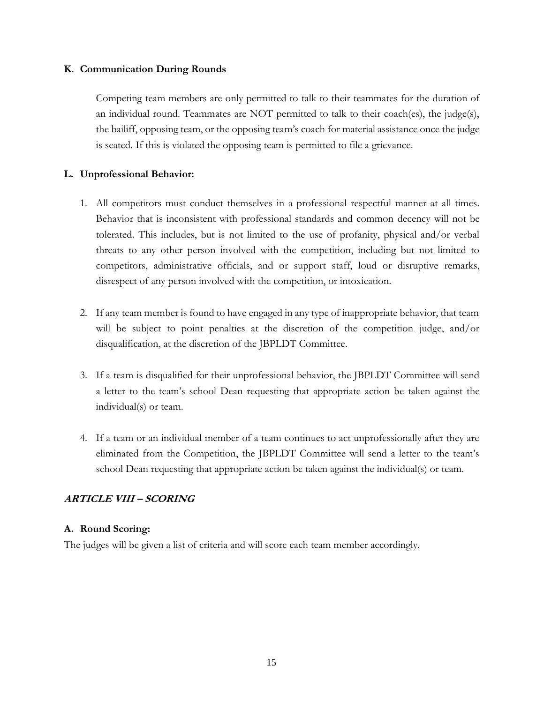## <span id="page-14-0"></span>**K. Communication During Rounds**

Competing team members are only permitted to talk to their teammates for the duration of an individual round. Teammates are NOT permitted to talk to their coach(es), the judge(s), the bailiff, opposing team, or the opposing team's coach for material assistance once the judge is seated. If this is violated the opposing team is permitted to file a grievance.

## <span id="page-14-1"></span>**L. Unprofessional Behavior:**

- 1. All competitors must conduct themselves in a professional respectful manner at all times. Behavior that is inconsistent with professional standards and common decency will not be tolerated. This includes, but is not limited to the use of profanity, physical and/or verbal threats to any other person involved with the competition, including but not limited to competitors, administrative officials, and or support staff, loud or disruptive remarks, disrespect of any person involved with the competition, or intoxication.
- 2. If any team member is found to have engaged in any type of inappropriate behavior, that team will be subject to point penalties at the discretion of the competition judge, and/or disqualification, at the discretion of the JBPLDT Committee.
- 3. If a team is disqualified for their unprofessional behavior, the JBPLDT Committee will send a letter to the team's school Dean requesting that appropriate action be taken against the individual(s) or team.
- 4. If a team or an individual member of a team continues to act unprofessionally after they are eliminated from the Competition, the JBPLDT Committee will send a letter to the team's school Dean requesting that appropriate action be taken against the individual(s) or team.

## <span id="page-14-2"></span>**ARTICLE VIII – SCORING**

## <span id="page-14-3"></span>**A. Round Scoring:**

The judges will be given a list of criteria and will score each team member accordingly.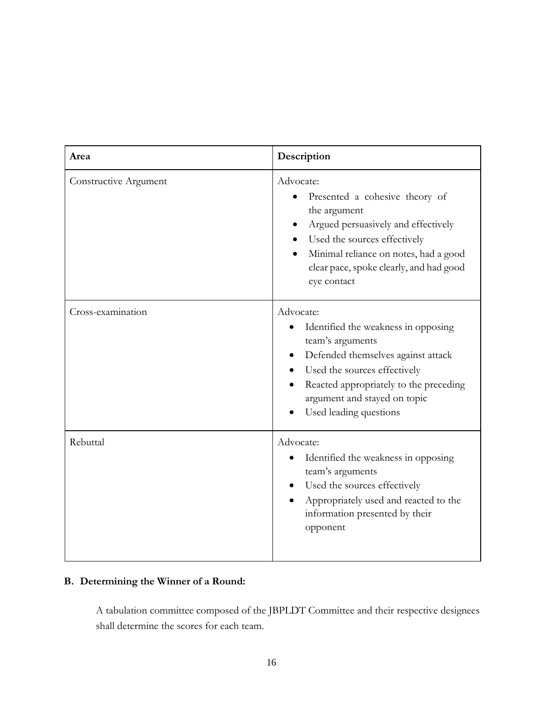| Area                  | Description                                                                                                                                                                                                                                                 |  |
|-----------------------|-------------------------------------------------------------------------------------------------------------------------------------------------------------------------------------------------------------------------------------------------------------|--|
| Constructive Argument | Advocate:<br>Presented a cohesive theory of<br>the argument<br>Argued persuasively and effectively<br>Used the sources effectively<br>Minimal reliance on notes, had a good<br>clear pace, spoke clearly, and had good<br>eye contact                       |  |
| Cross-examination     | Advocate:<br>Identified the weakness in opposing<br>$\bullet$<br>team's arguments<br>Defended themselves against attack<br>Used the sources effectively<br>Reacted appropriately to the preceding<br>argument and stayed on topic<br>Used leading questions |  |
| Rebuttal              | Advocate:<br>Identified the weakness in opposing<br>$\bullet$<br>team's arguments<br>Used the sources effectively<br>Appropriately used and reacted to the<br>information presented by their<br>opponent                                                    |  |

## <span id="page-15-0"></span>**B. Determining the Winner of a Round:**

A tabulation committee composed of the JBPLDT Committee and their respective designees shall determine the scores for each team.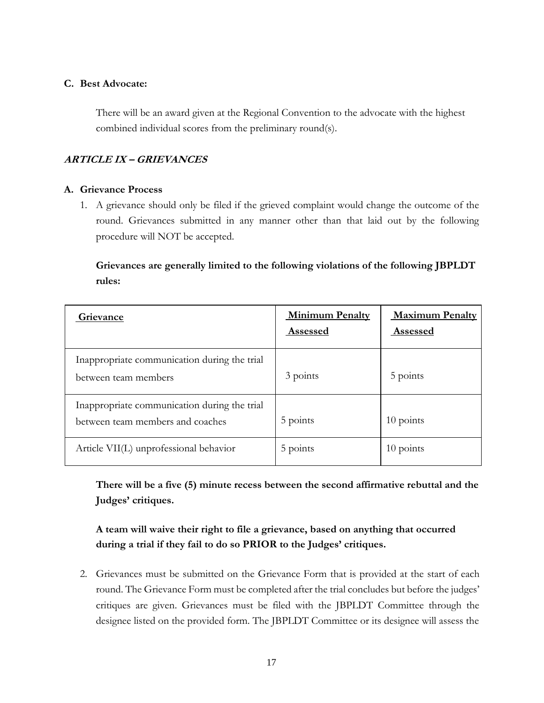## <span id="page-16-0"></span>**C. Best Advocate:**

There will be an award given at the Regional Convention to the advocate with the highest combined individual scores from the preliminary round(s).

## <span id="page-16-1"></span>**ARTICLE IX – GRIEVANCES**

## <span id="page-16-2"></span>**A. Grievance Process**

1. A grievance should only be filed if the grieved complaint would change the outcome of the round. Grievances submitted in any manner other than that laid out by the following procedure will NOT be accepted.

## **Grievances are generally limited to the following violations of the following JBPLDT rules:**

| Grievance                                                                        | <b>Minimum Penalty</b><br>Assessed | <b>Maximum Penalty</b><br><b>Assessed</b> |
|----------------------------------------------------------------------------------|------------------------------------|-------------------------------------------|
| Inappropriate communication during the trial<br>between team members             | 3 points                           | 5 points                                  |
| Inappropriate communication during the trial<br>between team members and coaches | 5 points                           | $10$ points                               |
| Article VII(L) unprofessional behavior                                           | 5 points                           | $10$ points                               |

**There will be a five (5) minute recess between the second affirmative rebuttal and the Judges' critiques.**

## **A team will waive their right to file a grievance, based on anything that occurred during a trial if they fail to do so PRIOR to the Judges' critiques.**

2. Grievances must be submitted on the Grievance Form that is provided at the start of each round. The Grievance Form must be completed after the trial concludes but before the judges' critiques are given. Grievances must be filed with the JBPLDT Committee through the designee listed on the provided form. The JBPLDT Committee or its designee will assess the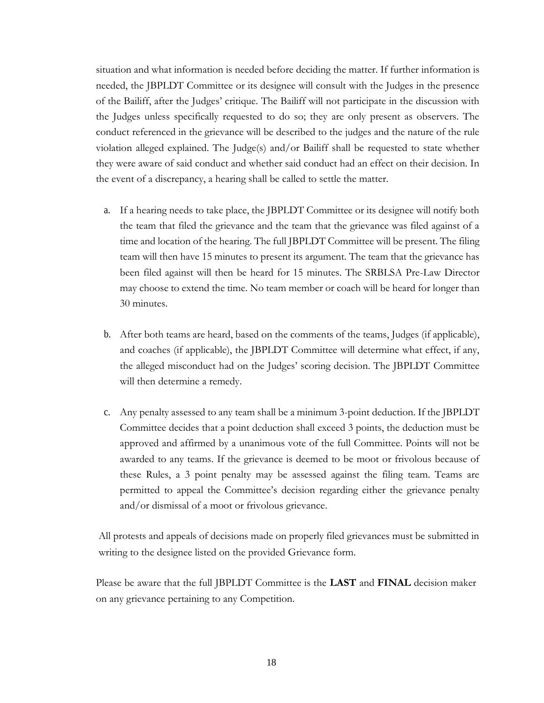situation and what information is needed before deciding the matter. If further information is needed, the JBPLDT Committee or its designee will consult with the Judges in the presence of the Bailiff, after the Judges' critique. The Bailiff will not participate in the discussion with the Judges unless specifically requested to do so; they are only present as observers. The conduct referenced in the grievance will be described to the judges and the nature of the rule violation alleged explained. The Judge(s) and/or Bailiff shall be requested to state whether they were aware of said conduct and whether said conduct had an effect on their decision. In the event of a discrepancy, a hearing shall be called to settle the matter.

- a. If a hearing needs to take place, the JBPLDT Committee or its designee will notify both the team that filed the grievance and the team that the grievance was filed against of a time and location of the hearing. The full JBPLDT Committee will be present. The filing team will then have 15 minutes to present its argument. The team that the grievance has been filed against will then be heard for 15 minutes. The SRBLSA Pre-Law Director may choose to extend the time. No team member or coach will be heard for longer than 30 minutes.
- b. After both teams are heard, based on the comments of the teams, Judges (if applicable), and coaches (if applicable), the JBPLDT Committee will determine what effect, if any, the alleged misconduct had on the Judges' scoring decision. The JBPLDT Committee will then determine a remedy.
- c. Any penalty assessed to any team shall be a minimum 3-point deduction. If the JBPLDT Committee decides that a point deduction shall exceed 3 points, the deduction must be approved and affirmed by a unanimous vote of the full Committee. Points will not be awarded to any teams. If the grievance is deemed to be moot or frivolous because of these Rules, a 3 point penalty may be assessed against the filing team. Teams are permitted to appeal the Committee's decision regarding either the grievance penalty and/or dismissal of a moot or frivolous grievance.

All protests and appeals of decisions made on properly filed grievances must be submitted in writing to the designee listed on the provided Grievance form.

Please be aware that the full JBPLDT Committee is the **LAST** and **FINAL** decision maker on any grievance pertaining to any Competition.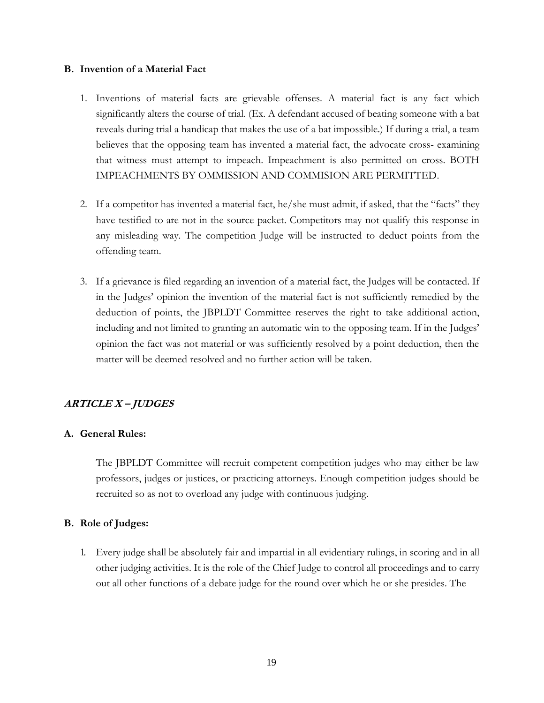## <span id="page-18-0"></span>**B. Invention of a Material Fact**

- 1. Inventions of material facts are grievable offenses. A material fact is any fact which significantly alters the course of trial. (Ex. A defendant accused of beating someone with a bat reveals during trial a handicap that makes the use of a bat impossible.) If during a trial, a team believes that the opposing team has invented a material fact, the advocate cross- examining that witness must attempt to impeach. Impeachment is also permitted on cross. BOTH IMPEACHMENTS BY OMMISSION AND COMMISION ARE PERMITTED.
- 2. If a competitor has invented a material fact, he/she must admit, if asked, that the "facts" they have testified to are not in the source packet. Competitors may not qualify this response in any misleading way. The competition Judge will be instructed to deduct points from the offending team.
- 3. If a grievance is filed regarding an invention of a material fact, the Judges will be contacted. If in the Judges' opinion the invention of the material fact is not sufficiently remedied by the deduction of points, the JBPLDT Committee reserves the right to take additional action, including and not limited to granting an automatic win to the opposing team. If in the Judges' opinion the fact was not material or was sufficiently resolved by a point deduction, then the matter will be deemed resolved and no further action will be taken.

## <span id="page-18-1"></span>**ARTICLE X – JUDGES**

## <span id="page-18-2"></span>**A. General Rules:**

The JBPLDT Committee will recruit competent competition judges who may either be law professors, judges or justices, or practicing attorneys. Enough competition judges should be recruited so as not to overload any judge with continuous judging.

## <span id="page-18-3"></span>**B. Role of Judges:**

1. Every judge shall be absolutely fair and impartial in all evidentiary rulings, in scoring and in all other judging activities. It is the role of the Chief Judge to control all proceedings and to carry out all other functions of a debate judge for the round over which he or she presides. The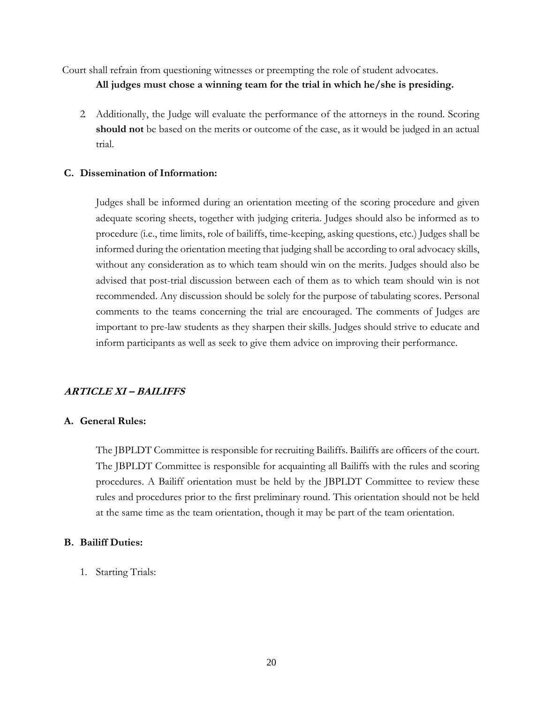Court shall refrain from questioning witnesses or preempting the role of student advocates.

**All judges must chose a winning team for the trial in which he/she is presiding.**

2. Additionally, the Judge will evaluate the performance of the attorneys in the round. Scoring **should not** be based on the merits or outcome of the case, as it would be judged in an actual trial.

## <span id="page-19-0"></span>**C. Dissemination of Information:**

Judges shall be informed during an orientation meeting of the scoring procedure and given adequate scoring sheets, together with judging criteria. Judges should also be informed as to procedure (i.e., time limits, role of bailiffs, time-keeping, asking questions, etc.) Judges shall be informed during the orientation meeting that judging shall be according to oral advocacy skills, without any consideration as to which team should win on the merits. Judges should also be advised that post-trial discussion between each of them as to which team should win is not recommended. Any discussion should be solely for the purpose of tabulating scores. Personal comments to the teams concerning the trial are encouraged. The comments of Judges are important to pre-law students as they sharpen their skills. Judges should strive to educate and inform participants as well as seek to give them advice on improving their performance.

## <span id="page-19-1"></span>**ARTICLE XI – BAILIFFS**

## <span id="page-19-2"></span>**A. General Rules:**

The JBPLDT Committee is responsible for recruiting Bailiffs. Bailiffs are officers of the court. The JBPLDT Committee is responsible for acquainting all Bailiffs with the rules and scoring procedures. A Bailiff orientation must be held by the JBPLDT Committee to review these rules and procedures prior to the first preliminary round. This orientation should not be held at the same time as the team orientation, though it may be part of the team orientation.

## <span id="page-19-3"></span>**B. Bailiff Duties:**

1. Starting Trials: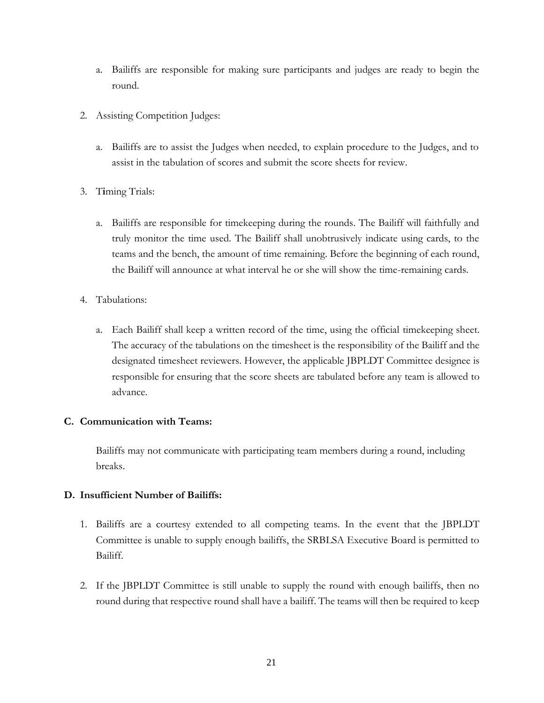- a. Bailiffs are responsible for making sure participants and judges are ready to begin the round.
- 2. Assisting Competition Judges:
	- a. Bailiffs are to assist the Judges when needed, to explain procedure to the Judges, and to assist in the tabulation of scores and submit the score sheets for review.
- 3. T**i**ming Trials:
	- a. Bailiffs are responsible for timekeeping during the rounds. The Bailiff will faithfully and truly monitor the time used. The Bailiff shall unobtrusively indicate using cards, to the teams and the bench, the amount of time remaining. Before the beginning of each round, the Bailiff will announce at what interval he or she will show the time-remaining cards.
- 4. Tabulations:
	- a. Each Bailiff shall keep a written record of the time, using the official timekeeping sheet. The accuracy of the tabulations on the timesheet is the responsibility of the Bailiff and the designated timesheet reviewers. However, the applicable JBPLDT Committee designee is responsible for ensuring that the score sheets are tabulated before any team is allowed to advance.

## <span id="page-20-0"></span>**C. Communication with Teams:**

Bailiffs may not communicate with participating team members during a round, including breaks.

## <span id="page-20-1"></span>**D. Insufficient Number of Bailiffs:**

- 1. Bailiffs are a courtesy extended to all competing teams. In the event that the JBPLDT Committee is unable to supply enough bailiffs, the SRBLSA Executive Board is permitted to Bailiff.
- 2. If the JBPLDT Committee is still unable to supply the round with enough bailiffs, then no round during that respective round shall have a bailiff. The teams will then be required to keep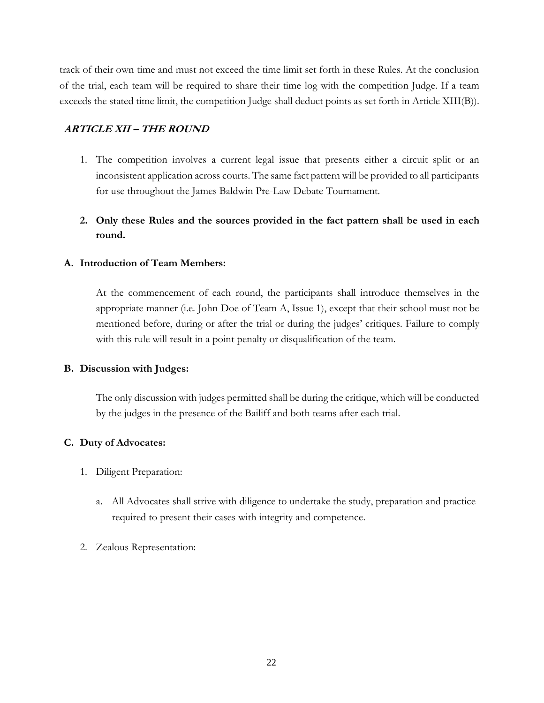track of their own time and must not exceed the time limit set forth in these Rules. At the conclusion of the trial, each team will be required to share their time log with the competition Judge. If a team exceeds the stated time limit, the competition Judge shall deduct points as set forth in Article XIII(B)).

## <span id="page-21-0"></span>**ARTICLE XII – THE ROUND**

- 1. The competition involves a current legal issue that presents either a circuit split or an inconsistent application across courts. The same fact pattern will be provided to all participants for use throughout the James Baldwin Pre-Law Debate Tournament.
- **2. Only these Rules and the sources provided in the fact pattern shall be used in each round.**

## <span id="page-21-1"></span>**A. Introduction of Team Members:**

At the commencement of each round, the participants shall introduce themselves in the appropriate manner (i.e. John Doe of Team A, Issue 1), except that their school must not be mentioned before, during or after the trial or during the judges' critiques. Failure to comply with this rule will result in a point penalty or disqualification of the team.

## <span id="page-21-2"></span>**B. Discussion with Judges:**

The only discussion with judges permitted shall be during the critique, which will be conducted by the judges in the presence of the Bailiff and both teams after each trial.

## <span id="page-21-3"></span>**C. Duty of Advocates:**

- 1. Diligent Preparation:
	- a. All Advocates shall strive with diligence to undertake the study, preparation and practice required to present their cases with integrity and competence.
- 2. Zealous Representation: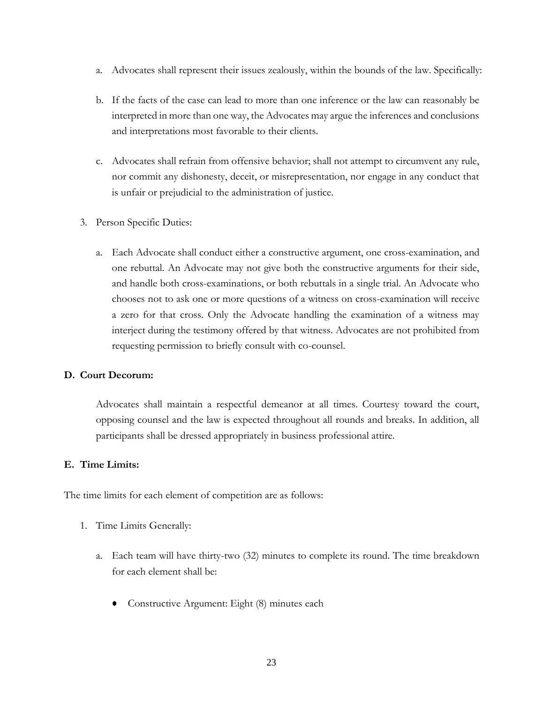- a. Advocates shall represent their issues zealously, within the bounds of the law. Specifically:
- b. If the facts of the case can lead to more than one inference or the law can reasonably be interpreted in more than one way, the Advocates may argue the inferences and conclusions and interpretations most favorable to their clients.
- c. Advocates shall refrain from offensive behavior; shall not attempt to circumvent any rule, nor commit any dishonesty, deceit, or misrepresentation, nor engage in any conduct that is unfair or prejudicial to the administration of justice.
- 3. Person Specific Duties:
	- a. Each Advocate shall conduct either a constructive argument, one cross-examination, and one rebuttal. An Advocate may not give both the constructive arguments for their side, and handle both cross-examinations, or both rebuttals in a single trial. An Advocate who chooses not to ask one or more questions of a witness on cross-examination will receive a zero for that cross. Only the Advocate handling the examination of a witness may interject during the testimony offered by that witness. Advocates are not prohibited from requesting permission to briefly consult with co-counsel.

## <span id="page-22-0"></span>**D. Court Decorum:**

Advocates shall maintain a respectful demeanor at all times. Courtesy toward the court, opposing counsel and the law is expected throughout all rounds and breaks. In addition, all participants shall be dressed appropriately in business professional attire.

## <span id="page-22-1"></span>**E. Time Limits:**

The time limits for each element of competition are as follows:

- 1. Time Limits Generally:
	- a. Each team will have thirty-two (32) minutes to complete its round. The time breakdown for each element shall be:
		- Constructive Argument: Eight (8) minutes each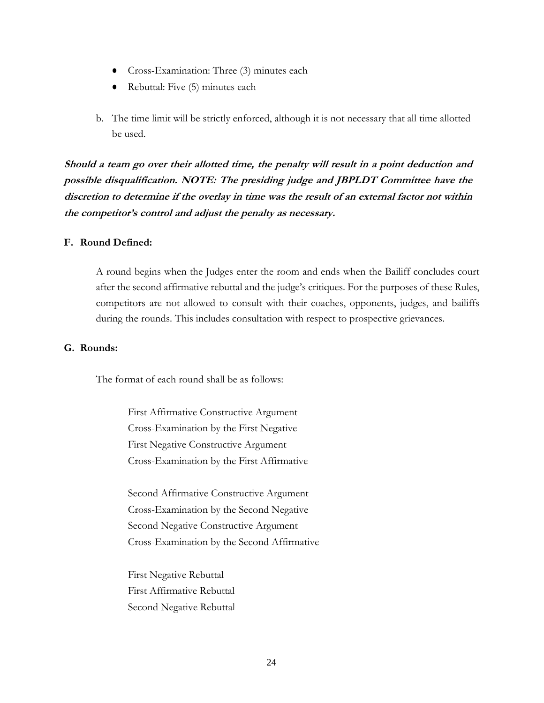- Cross-Examination: Three (3) minutes each
- Rebuttal: Five (5) minutes each
- b. The time limit will be strictly enforced, although it is not necessary that all time allotted be used.

**Should a team go over their allotted time, the penalty will result in a point deduction and possible disqualification. NOTE: The presiding judge and JBPLDT Committee have the discretion to determine if the overlay in time was the result of an external factor not within the competitor's control and adjust the penalty as necessary.**

## <span id="page-23-0"></span>**F. Round Defined:**

A round begins when the Judges enter the room and ends when the Bailiff concludes court after the second affirmative rebuttal and the judge's critiques. For the purposes of these Rules, competitors are not allowed to consult with their coaches, opponents, judges, and bailiffs during the rounds. This includes consultation with respect to prospective grievances.

## <span id="page-23-1"></span>**G. Rounds:**

The format of each round shall be as follows:

First Affirmative Constructive Argument Cross-Examination by the First Negative First Negative Constructive Argument Cross-Examination by the First Affirmative

Second Affirmative Constructive Argument Cross-Examination by the Second Negative Second Negative Constructive Argument Cross-Examination by the Second Affirmative

First Negative Rebuttal First Affirmative Rebuttal Second Negative Rebuttal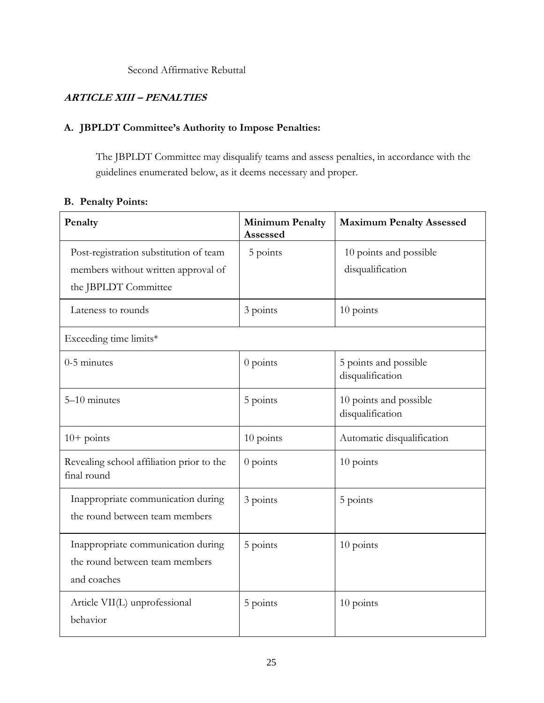Second Affirmative Rebuttal

## <span id="page-24-0"></span>**ARTICLE XIII – PENALTIES**

## <span id="page-24-1"></span>**A. JBPLDT Committee's Authority to Impose Penalties:**

The JBPLDT Committee may disqualify teams and assess penalties, in accordance with the guidelines enumerated below, as it deems necessary and proper.

## <span id="page-24-2"></span>**B. Penalty Points:**

| Penalty                                                                                               | <b>Minimum Penalty</b><br>Assessed | <b>Maximum Penalty Assessed</b>            |  |
|-------------------------------------------------------------------------------------------------------|------------------------------------|--------------------------------------------|--|
| Post-registration substitution of team<br>members without written approval of<br>the JBPLDT Committee | 5 points                           | 10 points and possible<br>disqualification |  |
| Lateness to rounds                                                                                    | 3 points                           | 10 points                                  |  |
| Exceeding time limits*                                                                                |                                    |                                            |  |
| $0-5$ minutes                                                                                         | $0$ points                         | 5 points and possible<br>disqualification  |  |
| 5-10 minutes                                                                                          | 5 points                           | 10 points and possible<br>disqualification |  |
| $10+$ points                                                                                          | 10 points                          | Automatic disqualification                 |  |
| Revealing school affiliation prior to the<br>final round                                              | $0$ points                         | 10 points                                  |  |
| Inappropriate communication during<br>the round between team members                                  | 3 points                           | 5 points                                   |  |
| Inappropriate communication during<br>the round between team members<br>and coaches                   | 5 points                           | 10 points                                  |  |
| Article VII(L) unprofessional<br>behavior                                                             | 5 points                           | 10 points                                  |  |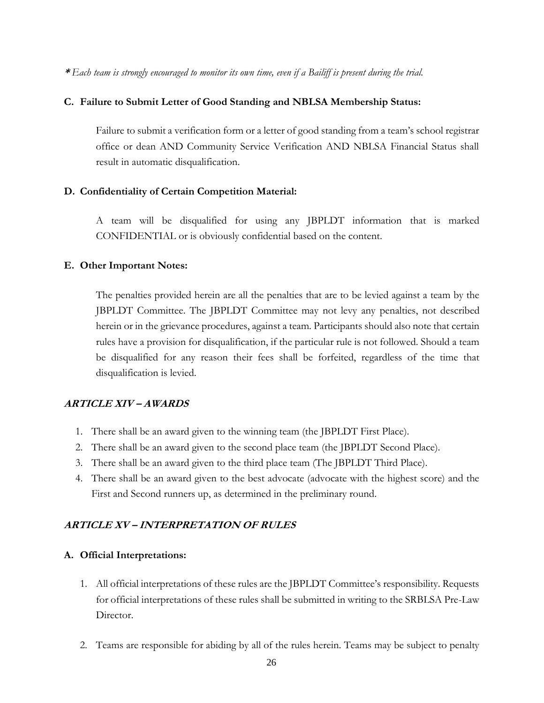**\*** *Each team is strongly encouraged to monitor its own time, even if a Bailiff is present during the trial.*

## <span id="page-25-0"></span>**C. Failure to Submit Letter of Good Standing and NBLSA Membership Status:**

Failure to submit a verification form or a letter of good standing from a team's school registrar office or dean AND Community Service Verification AND NBLSA Financial Status shall result in automatic disqualification.

## <span id="page-25-1"></span>**D. Confidentiality of Certain Competition Material:**

A team will be disqualified for using any JBPLDT information that is marked CONFIDENTIAL or is obviously confidential based on the content.

#### <span id="page-25-2"></span>**E. Other Important Notes:**

The penalties provided herein are all the penalties that are to be levied against a team by the JBPLDT Committee. The JBPLDT Committee may not levy any penalties, not described herein or in the grievance procedures, against a team. Participants should also note that certain rules have a provision for disqualification, if the particular rule is not followed. Should a team be disqualified for any reason their fees shall be forfeited, regardless of the time that disqualification is levied.

## **ARTICLE XIV – AWARDS**

- 1. There shall be an award given to the winning team (the JBPLDT First Place).
- 2. There shall be an award given to the second place team (the JBPLDT Second Place).
- 3. There shall be an award given to the third place team (The JBPLDT Third Place).
- 4. There shall be an award given to the best advocate (advocate with the highest score) and the First and Second runners up, as determined in the preliminary round.

## **ARTICLE XV – INTERPRETATION OF RULES**

#### **A. Official Interpretations:**

- 1. All official interpretations of these rules are the JBPLDT Committee's responsibility. Requests for official interpretations of these rules shall be submitted in writing to the SRBLSA Pre-Law Director.
- 2. Teams are responsible for abiding by all of the rules herein. Teams may be subject to penalty